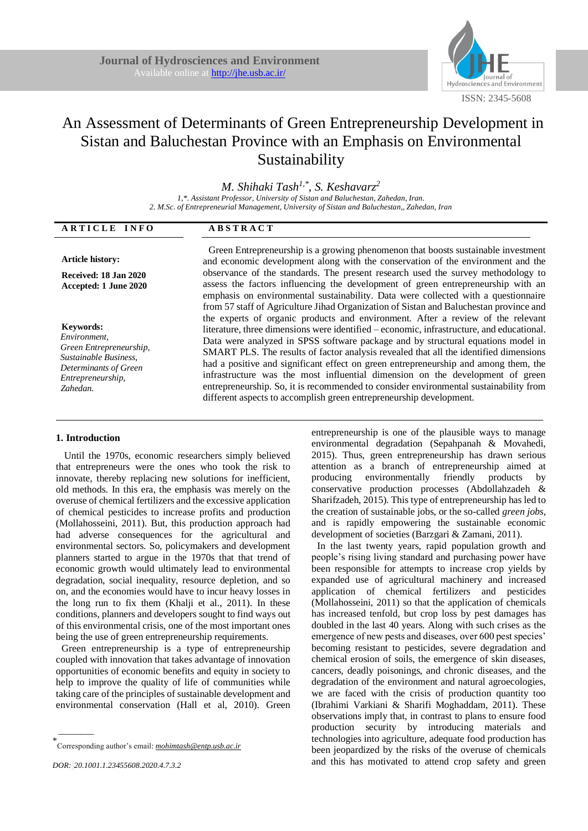

# An Assessment of Determinants of Green Entrepreneurship Development in Sistan and Baluchestan Province with an Emphasis on Environmental Sustainability

*M. Shihaki Tash1,\* , S. Keshavarz<sup>2</sup>*

*1,\*. Assistant Professor, University of Sistan and Baluchestan, Zahedan, Iran. 2. M.Sc. of Entrepreneurial Management, University of Sistan and Baluchestan,, Zahedan, Iran* 

| ARTICLE INFO                                                                                                                                   | <b>ABSTRACT</b>                                                                                                                                                                                                                                                                                                                                                                                                                                                                                                                                                                                                                                                                                                                                                                             |
|------------------------------------------------------------------------------------------------------------------------------------------------|---------------------------------------------------------------------------------------------------------------------------------------------------------------------------------------------------------------------------------------------------------------------------------------------------------------------------------------------------------------------------------------------------------------------------------------------------------------------------------------------------------------------------------------------------------------------------------------------------------------------------------------------------------------------------------------------------------------------------------------------------------------------------------------------|
| <b>Article history:</b><br>Received: 18 Jan 2020<br>Accepted: 1 June 2020                                                                      | Green Entrepreneurship is a growing phenomenon that boosts sustainable investment<br>and economic development along with the conservation of the environment and the<br>observance of the standards. The present research used the survey methodology to<br>assess the factors influencing the development of green entrepreneurship with an<br>emphasis on environmental sustainability. Data were collected with a questionnaire                                                                                                                                                                                                                                                                                                                                                          |
| <b>Keywords:</b><br>Environment,<br>Green Entrepreneurship,<br>Sustainable Business,<br>Determinants of Green<br>Entrepreneurship,<br>Zahedan. | from 57 staff of Agriculture Jihad Organization of Sistan and Baluchestan province and<br>the experts of organic products and environment. After a review of the relevant<br>literature, three dimensions were identified – economic, infrastructure, and educational.<br>Data were analyzed in SPSS software package and by structural equations model in<br>SMART PLS. The results of factor analysis revealed that all the identified dimensions<br>had a positive and significant effect on green entrepreneurship and among them, the<br>infrastructure was the most influential dimension on the development of green<br>entrepreneurship. So, it is recommended to consider environmental sustainability from<br>different aspects to accomplish green entrepreneurship development. |

# **1. Introduction**

Until the 1970s, economic researchers simply believed that entrepreneurs were the ones who took the risk to innovate, thereby replacing new solutions for inefficient, old methods. In this era, the emphasis was merely on the overuse of chemical fertilizers and the excessive application of chemical pesticides to increase profits and production (Mollahosseini, 2011). But, this production approach had had adverse consequences for the agricultural and environmental sectors. So, policymakers and development planners started to argue in the 1970s that that trend of economic growth would ultimately lead to environmental degradation, social inequality, resource depletion, and so on, and the economies would have to incur heavy losses in the long run to fix them (Khalji et al., 2011). In these conditions, planners and developers sought to find ways out of this environmental crisis, one of the most important ones being the use of green entrepreneurship requirements.

Green entrepreneurship is a type of entrepreneurship coupled with innovation that takes advantage of innovation opportunities of economic benefits and equity in society to help to improve the quality of life of communities while taking care of the principles of sustainable development and environmental conservation (Hall et al, 2010). Green

 $\overline{\phantom{a}}$ 

entrepreneurship is one of the plausible ways to manage environmental degradation (Sepahpanah & Movahedi, 2015). Thus, green entrepreneurship has drawn serious attention as a branch of entrepreneurship aimed at producing environmentally friendly products by conservative production processes (Abdollahzadeh & Sharifzadeh, 2015). This type of entrepreneurship has led to the creation of sustainable jobs, or the so-called *green jobs*, and is rapidly empowering the sustainable economic development of societies (Barzgari & Zamani, 2011).

In the last twenty years, rapid population growth and people's rising living standard and purchasing power have been responsible for attempts to increase crop yields by expanded use of agricultural machinery and increased application of chemical fertilizers and pesticides (Mollahosseini, 2011) so that the application of chemicals has increased tenfold, but crop loss by pest damages has doubled in the last 40 years. Along with such crises as the emergence of new pests and diseases, over 600 pest species' becoming resistant to pesticides, severe degradation and chemical erosion of soils, the emergence of skin diseases, cancers, deadly poisonings, and chronic diseases, and the degradation of the environment and natural agroecologies, we are faced with the crisis of production quantity too (Ibrahimi Varkiani & Sharifi Moghaddam, 2011). These observations imply that, in contrast to plans to ensure food production security by introducing materials and technologies into agriculture, adequate food production has been jeopardized by the risks of the overuse of chemicals and this has motivated to attend crop safety and green

<sup>\*</sup> Corresponding author's email: *mohimtash@entp.usb.ac.ir*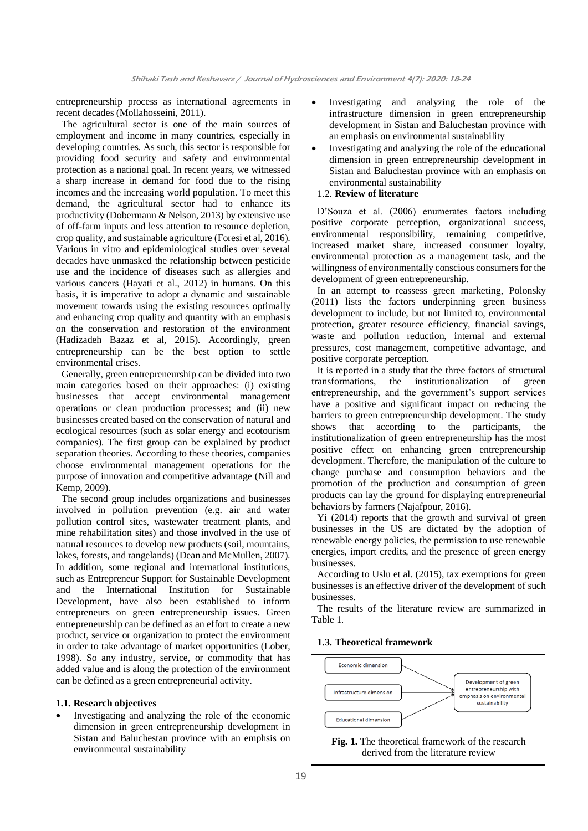entrepreneurship process as international agreements in recent decades (Mollahosseini, 2011).

The agricultural sector is one of the main sources of employment and income in many countries, especially in developing countries. As such, this sector is responsible for providing food security and safety and environmental protection as a national goal. In recent years, we witnessed a sharp increase in demand for food due to the rising incomes and the increasing world population. To meet this demand, the agricultural sector had to enhance its productivity (Dobermann & Nelson, 2013) by extensive use of off-farm inputs and less attention to resource depletion, crop quality, and sustainable agriculture (Foresi et al, 2016). Various in vitro and epidemiological studies over several decades have unmasked the relationship between pesticide use and the incidence of diseases such as allergies and various cancers (Hayati et al., 2012) in humans. On this basis, it is imperative to adopt a dynamic and sustainable movement towards using the existing resources optimally and enhancing crop quality and quantity with an emphasis on the conservation and restoration of the environment (Hadizadeh Bazaz et al, 2015). Accordingly, green entrepreneurship can be the best option to settle environmental crises.

Generally, green entrepreneurship can be divided into two main categories based on their approaches: (i) existing businesses that accept environmental management operations or clean production processes; and (ii) new businesses created based on the conservation of natural and ecological resources (such as solar energy and ecotourism companies). The first group can be explained by product separation theories. According to these theories, companies choose environmental management operations for the purpose of innovation and competitive advantage (Nill and Kemp, 2009).

The second group includes organizations and businesses involved in pollution prevention (e.g. air and water pollution control sites, wastewater treatment plants, and mine rehabilitation sites) and those involved in the use of natural resources to develop new products (soil, mountains, lakes, forests, and rangelands) (Dean and McMullen, 2007). In addition, some regional and international institutions, such as Entrepreneur Support for Sustainable Development and the International Institution for Sustainable Development, have also been established to inform entrepreneurs on green entrepreneurship issues. Green entrepreneurship can be defined as an effort to create a new product, service or organization to protect the environment in order to take advantage of market opportunities (Lober, 1998). So any industry, service, or commodity that has added value and is along the protection of the environment can be defined as a green entrepreneurial activity.

#### **1.1. Research objectives**

• Investigating and analyzing the role of the economic dimension in green entrepreneurship development in Sistan and Baluchestan province with an emphsis on environmental sustainability

- Investigating and analyzing the role of the infrastructure dimension in green entrepreneurship development in Sistan and Baluchestan province with an emphasis on environmental sustainability
- Investigating and analyzing the role of the educational dimension in green entrepreneurship development in Sistan and Baluchestan province with an emphasis on environmental sustainability

## 1.2. **Review of literature**

D'Souza et al. (2006) enumerates factors including positive corporate perception, organizational success, environmental responsibility, remaining competitive, increased market share, increased consumer loyalty, environmental protection as a management task, and the willingness of environmentally conscious consumers for the development of green entrepreneurship.

In an attempt to reassess green marketing, Polonsky (2011) lists the factors underpinning green business development to include, but not limited to, environmental protection, greater resource efficiency, financial savings, waste and pollution reduction, internal and external pressures, cost management, competitive advantage, and positive corporate perception.

It is reported in a study that the three factors of structural transformations, the institutionalization of green entrepreneurship, and the government's support services have a positive and significant impact on reducing the barriers to green entrepreneurship development. The study shows that according to the participants, the institutionalization of green entrepreneurship has the most positive effect on enhancing green entrepreneurship development. Therefore, the manipulation of the culture to change purchase and consumption behaviors and the promotion of the production and consumption of green products can lay the ground for displaying entrepreneurial behaviors by farmers (Najafpour, 2016).

Yi (2014) reports that the growth and survival of green businesses in the US are dictated by the adoption of renewable energy policies, the permission to use renewable energies, import credits, and the presence of green energy businesses.

According to Uslu et al. (2015), tax exemptions for green businesses is an effective driver of the development of such businesses.

The results of the literature review are summarized in Table 1.

# **1.3. Theoretical framework**



**Fig. 1.** The theoretical framework of the research derived from the literature review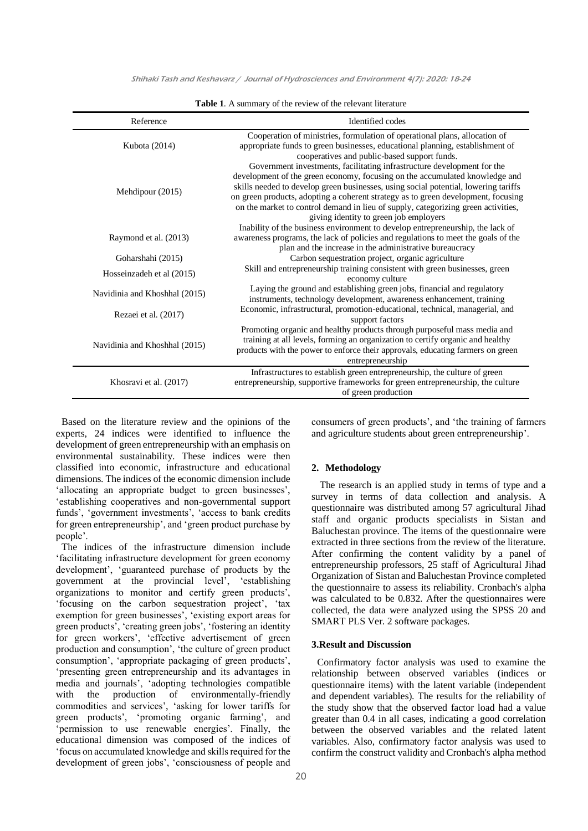Shihaki Tash and Keshavarz / Journal of Hydrosciences and Environment 4(7): 2020: 18-24

| Reference                     | Identified codes                                                                                                                                                                                                                                                                                                                                                                                                                                                  |
|-------------------------------|-------------------------------------------------------------------------------------------------------------------------------------------------------------------------------------------------------------------------------------------------------------------------------------------------------------------------------------------------------------------------------------------------------------------------------------------------------------------|
| Kubota (2014)                 | Cooperation of ministries, formulation of operational plans, allocation of<br>appropriate funds to green businesses, educational planning, establishment of<br>cooperatives and public-based support funds.                                                                                                                                                                                                                                                       |
| Mehdipour (2015)              | Government investments, facilitating infrastructure development for the<br>development of the green economy, focusing on the accumulated knowledge and<br>skills needed to develop green businesses, using social potential, lowering tariffs<br>on green products, adopting a coherent strategy as to green development, focusing<br>on the market to control demand in lieu of supply, categorizing green activities,<br>giving identity to green job employers |
| Raymond et al. (2013)         | Inability of the business environment to develop entrepreneurship, the lack of<br>awareness programs, the lack of policies and regulations to meet the goals of the<br>plan and the increase in the administrative bureaucracy                                                                                                                                                                                                                                    |
| Goharshahi (2015)             | Carbon sequestration project, organic agriculture                                                                                                                                                                                                                                                                                                                                                                                                                 |
| Hosseinzadeh et al (2015)     | Skill and entrepreneurship training consistent with green businesses, green<br>economy culture                                                                                                                                                                                                                                                                                                                                                                    |
| Navidinia and Khoshhal (2015) | Laying the ground and establishing green jobs, financial and regulatory<br>instruments, technology development, awareness enhancement, training                                                                                                                                                                                                                                                                                                                   |
| Rezaei et al. (2017)          | Economic, infrastructural, promotion-educational, technical, managerial, and<br>support factors                                                                                                                                                                                                                                                                                                                                                                   |
| Navidinia and Khoshhal (2015) | Promoting organic and healthy products through purposeful mass media and<br>training at all levels, forming an organization to certify organic and healthy<br>products with the power to enforce their approvals, educating farmers on green<br>entrepreneurship                                                                                                                                                                                                  |
| Khosravi et al. (2017)        | Infrastructures to establish green entrepreneurship, the culture of green<br>entrepreneurship, supportive frameworks for green entrepreneurship, the culture<br>of green production                                                                                                                                                                                                                                                                               |

**Table 1**. A summary of the review of the relevant literature

Based on the literature review and the opinions of the experts, 24 indices were identified to influence the development of green entrepreneurship with an emphasis on environmental sustainability. These indices were then classified into economic, infrastructure and educational dimensions. The indices of the economic dimension include 'allocating an appropriate budget to green businesses', 'establishing cooperatives and non-governmental support funds', 'government investments', 'access to bank credits for green entrepreneurship', and 'green product purchase by people'.

The indices of the infrastructure dimension include 'facilitating infrastructure development for green economy development', 'guaranteed purchase of products by the government at the provincial level', 'establishing organizations to monitor and certify green products', 'focusing on the carbon sequestration project', 'tax exemption for green businesses', 'existing export areas for green products', 'creating green jobs', 'fostering an identity for green workers', 'effective advertisement of green production and consumption', 'the culture of green product consumption', 'appropriate packaging of green products', 'presenting green entrepreneurship and its advantages in media and journals', 'adopting technologies compatible with the production of environmentally-friendly commodities and services', 'asking for lower tariffs for green products', 'promoting organic farming', and 'permission to use renewable energies'. Finally, the educational dimension was composed of the indices of 'focus on accumulated knowledge and skills required for the development of green jobs', 'consciousness of people and consumers of green products', and 'the training of farmers and agriculture students about green entrepreneurship'.

#### **2. Methodology**

The research is an applied study in terms of type and a survey in terms of data collection and analysis. A questionnaire was distributed among 57 agricultural Jihad staff and organic products specialists in Sistan and Baluchestan province. The items of the questionnaire were extracted in three sections from the review of the literature. After confirming the content validity by a panel of entrepreneurship professors, 25 staff of Agricultural Jihad Organization of Sistan and Baluchestan Province completed the questionnaire to assess its reliability. Cronbach's alpha was calculated to be 0.832. After the questionnaires were collected, the data were analyzed using the SPSS 20 and SMART PLS Ver. 2 software packages.

#### **3.Result and Discussion**

Confirmatory factor analysis was used to examine the relationship between observed variables (indices or questionnaire items) with the latent variable (independent and dependent variables). The results for the reliability of the study show that the observed factor load had a value greater than 0.4 in all cases, indicating a good correlation between the observed variables and the related latent variables. Also, confirmatory factor analysis was used to confirm the construct validity and Cronbach's alpha method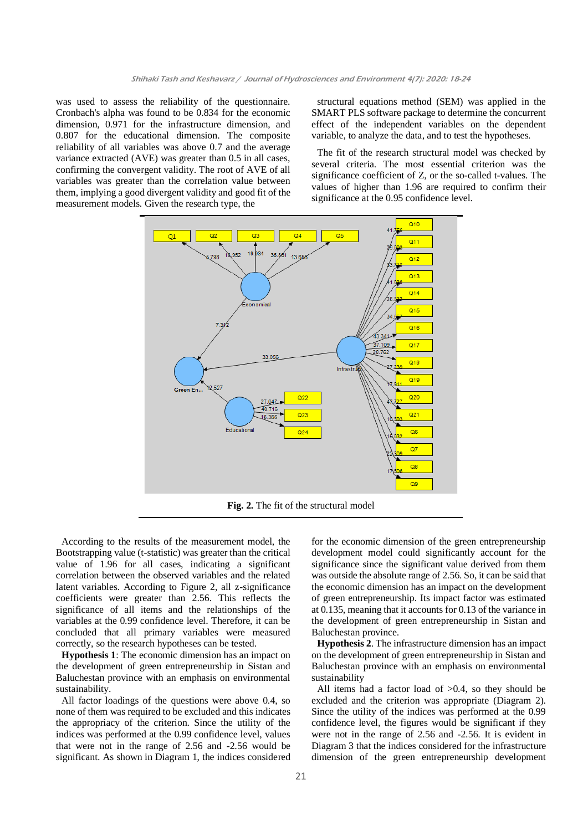was used to assess the reliability of the questionnaire. Cronbach's alpha was found to be 0.834 for the economic dimension, 0.971 for the infrastructure dimension, and 0.807 for the educational dimension. The composite reliability of all variables was above 0.7 and the average variance extracted (AVE) was greater than 0.5 in all cases, confirming the convergent validity. The root of AVE of all variables was greater than the correlation value between them, implying a good divergent validity and good fit of the measurement models. Given the research type, the

structural equations method (SEM) was applied in the SMART PLS software package to determine the concurrent effect of the independent variables on the dependent variable, to analyze the data, and to test the hypotheses.

The fit of the research structural model was checked by several criteria. The most essential criterion was the significance coefficient of Z, or the so-called t-values. The values of higher than 1.96 are required to confirm their significance at the 0.95 confidence level.



According to the results of the measurement model, the Bootstrapping value (t-statistic) was greater than the critical value of 1.96 for all cases, indicating a significant correlation between the observed variables and the related latent variables. According to Figure 2, all z-significance coefficients were greater than 2.56. This reflects the significance of all items and the relationships of the variables at the 0.99 confidence level. Therefore, it can be concluded that all primary variables were measured correctly, so the research hypotheses can be tested.

**Hypothesis 1**: The economic dimension has an impact on the development of green entrepreneurship in Sistan and Baluchestan province with an emphasis on environmental sustainability.

All factor loadings of the questions were above 0.4, so none of them was required to be excluded and this indicates the appropriacy of the criterion. Since the utility of the indices was performed at the 0.99 confidence level, values that were not in the range of 2.56 and -2.56 would be significant. As shown in Diagram 1, the indices considered for the economic dimension of the green entrepreneurship development model could significantly account for the significance since the significant value derived from them was outside the absolute range of 2.56. So, it can be said that the economic dimension has an impact on the development of green entrepreneurship. Its impact factor was estimated at 0.135, meaning that it accounts for 0.13 of the variance in the development of green entrepreneurship in Sistan and Baluchestan province.

**Hypothesis 2**. The infrastructure dimension has an impact on the development of green entrepreneurship in Sistan and Baluchestan province with an emphasis on environmental sustainability

All items had a factor load of  $>0.4$ , so they should be excluded and the criterion was appropriate (Diagram 2). Since the utility of the indices was performed at the 0.99 confidence level, the figures would be significant if they were not in the range of 2.56 and -2.56. It is evident in Diagram 3 that the indices considered for the infrastructure dimension of the green entrepreneurship development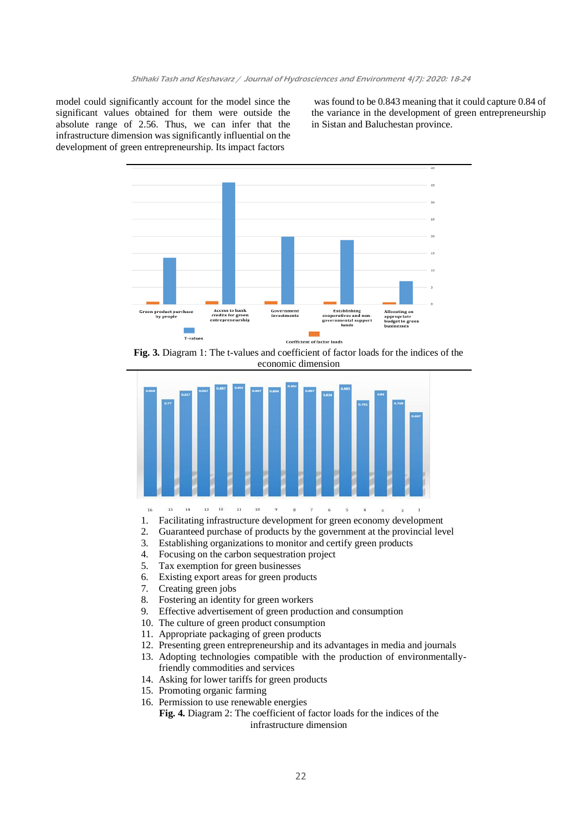model could significantly account for the model since the significant values obtained for them were outside the absolute range of 2.56. Thus, we can infer that the infrastructure dimension was significantly influential on the development of green entrepreneurship. Its impact factors

was found to be 0.843 meaning that it could capture 0.84 of the variance in the development of green entrepreneurship in Sistan and Baluchestan province.



**Fig. 3.** Diagram 1: The t-values and coefficient of factor loads for the indices of the economic dimension



16  $15\,$  $14$  $13$   $12$  $11\,$  $10^\circ$  $\mathbf{g}$  $\mathbf{g}$  $\bar{7}$  $\delta$  $\leq$  $\overline{4}$  $\overline{\mathbf{3}}$  $\overline{2}$ 

- 1. Facilitating infrastructure development for green economy development
- 2. Guaranteed purchase of products by the government at the provincial level
- 3. Establishing organizations to monitor and certify green products
- 4. Focusing on the carbon sequestration project
- 5. Tax exemption for green businesses
- 6. Existing export areas for green products
- 7. Creating green jobs
- 8. Fostering an identity for green workers
- 9. Effective advertisement of green production and consumption
- 10. The culture of green product consumption
- 11. Appropriate packaging of green products
- 12. Presenting green entrepreneurship and its advantages in media and journals
- 13. Adopting technologies compatible with the production of environmentallyfriendly commodities and services
- 14. Asking for lower tariffs for green products
- 15. Promoting organic farming
- 16. Permission to use renewable energies

**Fig. 4.** Diagram 2: The coefficient of factor loads for the indices of the infrastructure dimension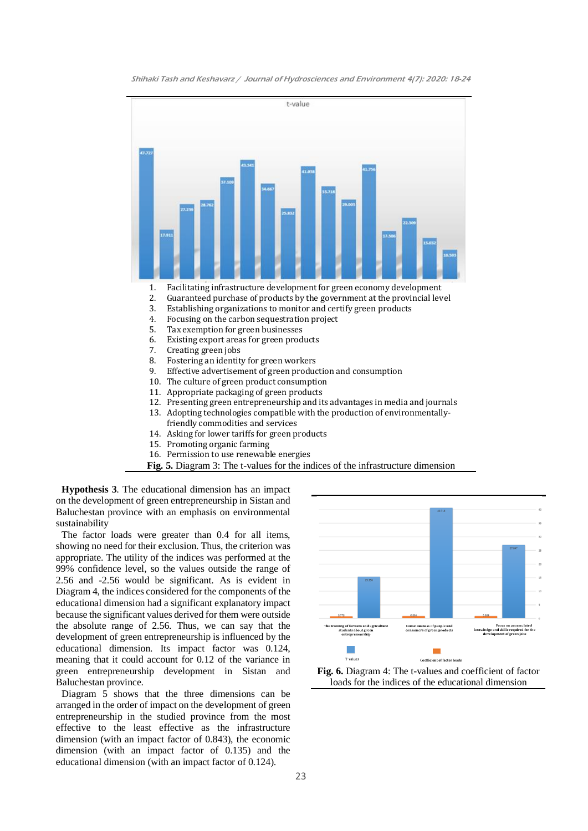



- 14. Asking for lower tariffs for green products
- 15. Promoting organic farming
- 16. Permission to use renewable energies
- **Fig. 5.** Diagram 3: The t-values for the indices of the infrastructure dimension

**Hypothesis 3**. The educational dimension has an impact on the development of green entrepreneurship in Sistan and Baluchestan province with an emphasis on environmental sustainability

The factor loads were greater than 0.4 for all items, showing no need for their exclusion. Thus, the criterion was appropriate. The utility of the indices was performed at the 99% confidence level, so the values outside the range of 2.56 and -2.56 would be significant. As is evident in Diagram 4, the indices considered for the components of the educational dimension had a significant explanatory impact because the significant values derived for them were outside the absolute range of 2.56. Thus, we can say that the development of green entrepreneurship is influenced by the educational dimension. Its impact factor was 0.124, meaning that it could account for 0.12 of the variance in green entrepreneurship development in Sistan and Baluchestan province.

Diagram 5 shows that the three dimensions can be arranged in the order of impact on the development of green entrepreneurship in the studied province from the most effective to the least effective as the infrastructure dimension (with an impact factor of 0.843), the economic dimension (with an impact factor of 0.135) and the educational dimension (with an impact factor of 0.124).